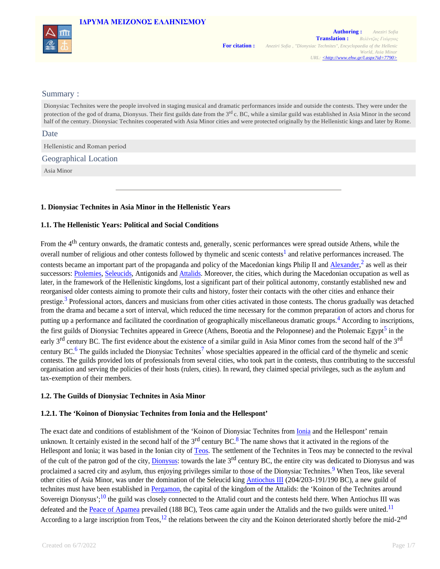## **IΔΡΥΜA ΜΕΙΖΟΝΟΣ ΕΛΛΗΝΙΣΜΟΥ**



### Summary :

Dionysiac Technites were the people involved in staging musical and dramatic performances inside and outside the contests. They were under the protection of the god of drama, Dionysus. Their first guilds date from the  $3<sup>rd</sup>$  c. BC, while a similar guild was established in Asia Minor in the second half of the century. Dionysiac Technites cooperated with Asia Minor cities and were protected originally by the Hellenistic kings and later by Rome.

Date

Hellenistic and Roman period

Geographical Location

Asia Minor

### **1. Dionysiac Technites in Asia Minor in the Hellenistic Years**

## **1.1. The Hellenistic Years: Political and Social Conditions**

From the 4<sup>th</sup> century onwards, the dramatic contests and, generally, scenic performances were spread outside Athens, while the overall number of religious and other contests followed by thymelic and scenic contests<sup>1</sup> and relative performances increased. The contests became an important part of the propaganda and policy of the Macedonian kings Philip II and **Alexander**,<sup>2</sup> as well as their successors: Ptolemies, Seleucids, Antigonids and Attalids. Moreover, the cities, which during the Macedonian occupation as well as later, in the framework of the Hellenistic kingdoms, lost a significant part of their political autonomy, constantly established new and reorganised older contests aiming to promote their cults and history, foster their contacts with the other cities and enhance their prestige.<sup>3</sup> Professional actors, dancers and musicians from other cities activated in those contests. The chorus gradually was detached from the drama and became a sort of interval, which reduced the time necessary for the common preparation of actors and chorus for putting up a performance and facilitated the coordination of geographically miscellaneous dramatic groups.<sup>4</sup> According to inscriptions, the first guilds of Dionysiac Technites appeared in Greece (Athens, Boeotia and the Peloponnese) and the Ptolemaic Egypt<sup>5</sup> in the early  $3<sup>rd</sup>$  century BC. The first evidence about the existence of a similar guild in Asia Minor comes from the second half of the  $3<sup>rd</sup>$ century BC.<sup>6</sup> The guilds included the Dionysiac Technites<sup>7</sup> whose specialties appeared in the official card of the thymelic and scenic contests. The guilds provided lots of professionals from several cities, who took part in the contests, thus contributing to the successful organisation and serving the policies of their hosts (rulers, cities). In reward, they claimed special privileges, such as the asylum and tax-exemption of their members.

### **1.2. The Guilds of Dionysiac Technites in Asia Minor**

### **1.2.1. The 'Koinon of Dionysiac Technites from Ionia and the Hellespont'**

The exact date and conditions of establishment of the 'Koinon of Dionysiac Technites from Ionia and the Hellespont' remain unknown. It certainly existed in the second half of the  $3<sup>rd</sup>$  century BC.<sup>8</sup> The name shows that it activated in the regions of the Hellespont and Ionia; it was based in the Ionian city of Teos. The settlement of the Technites in Teos may be connected to the revival of the cult of the patron god of the city, Dionysus: towards the late 3<sup>rd</sup> century BC, the entire city was dedicated to Dionysus and was proclaimed a sacred city and asylum, thus enjoying privileges similar to those of the Dionysiac Technites.<sup>9</sup> When Teos, like several other cities of Asia Minor, was under the domination of the Seleucid king Antiochus III (204/203-191/190 BC), a new guild of technites must have been established in Pergamon, the capital of the kingdom of the Attalids: the 'Koinon of the Technites around Sovereign Dionysus';<sup>10</sup> the guild was closely connected to the Attalid court and the contests held there. When Antiochus III was defeated and the Peace of Apamea prevailed (188 BC), Teos came again under the Attalids and the two guilds were united.<sup>11</sup> According to a large inscription from Teos,  $12$  the relations between the city and the Koinon deteriorated shortly before the mid-2<sup>nd</sup>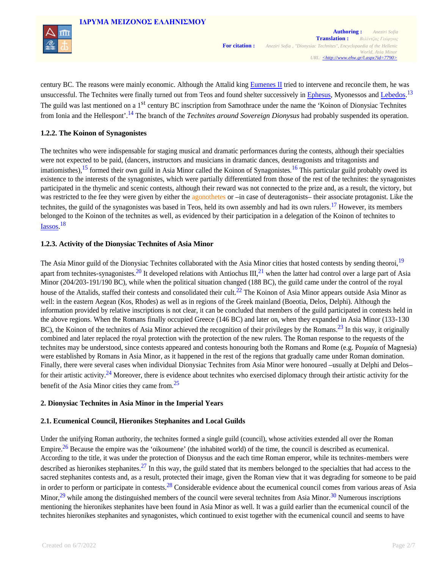

century BC. The reasons were mainly economic. Although the Attalid king Eumenes II tried to intervene and reconcile them, he was unsuccessful. The Technites were finally turned out from Teos and found shelter successively in Ephesus, Myonessos and Lebedos.<sup>13</sup> The guild was last mentioned on a 1<sup>st</sup> century BC inscription from Samothrace under the name the 'Koinon of Dionysiac Technites from Ionia and the Hellespont'. <sup>14</sup> The branch of the *Technites around Sovereign Dionysus* had probably suspended its operation.

## **1.2.2. The Koinon of Synagonistes**

The technites who were indispensable for staging musical and dramatic performances during the contests, although their specialties were not expected to be paid, (dancers, instructors and musicians in dramatic dances, deuteragonists and tritagonists and imatiomisthes), <sup>15</sup> formed their own guild in Asia Minor called the Koinon of Synagonistes.<sup>16</sup> This particular guild probably owed its existence to the interests of the synagonistes, which were partially differentiated from those of the rest of the technites: the synagonistes participated in the thymelic and scenic contests, although their reward was not connected to the prize and, as a result, the victory, but was restricted to the fee they were given by either the agonothetes or –in case of deuteragonists– their associate protagonist. Like the technites, the guild of the synagonistes was based in Teos, held its own assembly and had its own rulers.<sup>17</sup> However, its members belonged to the Koinon of the technites as well, as evidenced by their participation in a delegation of the Koinon of technites to Iassos. 18

## **1.2.3. Activity of the Dionysiac Technites of Asia Minor**

The Asia Minor guild of the Dionysiac Technites collaborated with the Asia Minor cities that hosted contests by sending theoroi,<sup>19</sup> apart from technites-synagonistes.<sup>20</sup> It developed relations with Antiochus III,<sup>21</sup> when the latter had control over a large part of Asia Minor (204/203-191/190 BC), while when the political situation changed (188 BC), the guild came under the control of the royal house of the Attalids, staffed their contests and consolidated their cult.<sup>22</sup> The Koinon of Asia Minor appears outside Asia Minor as well: in the eastern Aegean (Kos, Rhodes) as well as in regions of the Greek mainland (Boeotia, Delos, Delphi). Although the information provided by relative inscriptions is not clear, it can be concluded that members of the guild participated in contests held in the above regions. When the Romans finally occupied Greece (146 BC) and later on, when they expanded in Asia Minor (133-130 BC), the Koinon of the technites of Asia Minor achieved the recognition of their privileges by the Romans.<sup>23</sup> In this way, it originally combined and later replaced the royal protection with the protection of the new rulers. The Roman response to the requests of the technites may be understood, since contests appeared and contests honouring both the Romans and Rome (e.g. Pωμαία of Magnesia) were established by Romans in Asia Minor, as it happened in the rest of the regions that gradually came under Roman domination. Finally, there were several cases when individual Dionysiac Technites from Asia Minor were honoured –usually at Delphi and Delos– for their artistic activity.<sup>24</sup> Moreover, there is evidence about technites who exercised diplomacy through their artistic activity for the benefit of the Asia Minor cities they came from.<sup>25</sup>

### **2. Dionysiac Technites in Asia Minor in the Imperial Years**

## **2.1. Ecumenical Council, Hieronikes Stephanites and Local Guilds**

Under the unifying Roman authority, the technites formed a single guild (council), whose activities extended all over the Roman Empire.<sup>26</sup> Because the empire was the 'oikoumene' (the inhabited world) of the time, the council is described as ecumenical. According to the title, it was under the protection of Dionysus and the each time Roman emperor, while its technites-members were described as hieronikes stephanites.<sup>27</sup> In this way, the guild stated that its members belonged to the specialties that had access to the sacred stephanites contests and, as a result, protected their image, given the Roman view that it was degrading for someone to be paid in order to perform or participate in contests.<sup>28</sup> Considerable evidence about the ecumenical council comes from various areas of Asia Minor,  $^{29}$  while among the distinguished members of the council were several technites from Asia Minor.<sup>30</sup> Numerous inscriptions mentioning the hieronikes stephanites have been found in Asia Minor as well. It was a guild earlier than the ecumenical council of the technites hieronikes stephanites and synagonistes, which continued to exist together with the ecumenical council and seems to have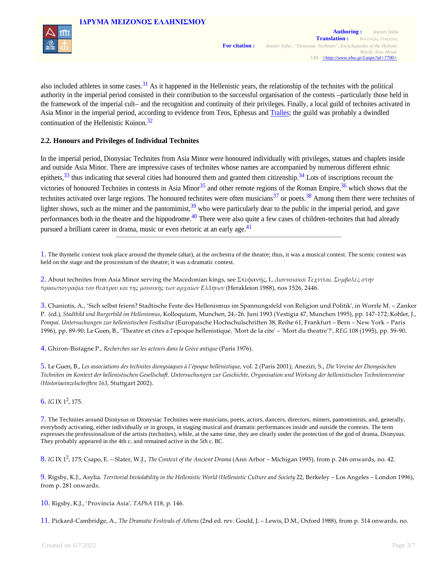

also included athletes in some cases.<sup>31</sup> As it happened in the Hellenistic years, the relationship of the technites with the political authority in the imperial period consisted in their contribution to the successful organisation of the contests –particularly those held in the framework of the imperial cult– and the recognition and continuity of their privileges. Finally, a local guild of technites activated in Asia Minor in the imperial period, according to evidence from Teos, Ephesus and Tralles; the guild was probably a dwindled continuation of the Hellenistic Koinon.<sup>32</sup>

## **2.2. Honours and Privileges of Individual Technites**

In the imperial period, Dionysiac Technites from Asia Minor were honoured individually with privileges, statues and chaplets inside and outside Asia Minor. There are impressive cases of technites whose names are accompanied by numerous different ethnic epithets,  $33$  thus indicating that several cities had honoured them and granted them citizenship.  $34$  Lots of inscriptions recount the victories of honoured Technites in contests in Asia Minor<sup>35</sup> and other remote regions of the Roman Empire,<sup>36</sup> which shows that the technites activated over large regions. The honoured technites were often musicians<sup>37</sup> or poets.<sup>38</sup> Among them there were technites of lighter shows, such as the mimer and the pantomimist,  $39$  who were particularly dear to the public in the imperial period, and gave performances both in the theatre and the hippodrome.<sup>40</sup> There were also quite a few cases of children-technites that had already pursued a brilliant career in drama, music or even rhetoric at an early age.<sup>41</sup>

1. The thymelic contest took place around the thymele (altar), at the orchestra of the theatre; thus, it was a musical contest. The scenic contest was held on the stage and the proscenium of the theatre; it was a dramatic contest.

2. About technites from Asia Minor serving the Macedonian kings, see Στεφανής, I., *Διονυσιακοί Tεχνίται. Συμβολές στην προσωπογραφία του θεάτρου και της μουσικής των αρχαίων Eλλήνων* (Herakleion 1988), nos 1526, 2446.

3. Chaniotis, A., 'Sich selbst feiern? Stadtische Feste des Hellenismus im Spannungsfeld von Religion und Politik', in Worrle M. – Zanker P. (ed.), *Stadtbild und Burgerbild im Hellenismus*, Kolloquium, Munchen, 24.‑26. Juni 1993 (Vestigia 47, Munchen 1995), pp. 147‑172; Kohler, J., *Pompai. Untersuchungen zur hellenistischen Festkultur* (Europaische Hochschulschriften 38, Reihe 61, Frankfurt – Bern – New York – Paris 1996), pp. 89‑90; Le Guen, B., 'Theatre et cites a l'epoque hellenistique. ʹMort de la citeʹ – ʹMort du theatreʹ?', *REG* 108 (1995), pp. 59‑90.

4. Ghiron‑Bistagne P., *Recherches sur les acteurs dans la Grèce antique* (Paris 1976).

5. Le Guen, B., *Les associations des technites dionysiaques à l'époque hellénistique*, vol. 2 (Paris 2001); Aneziri, S., *Die Vereine der Dionysischen Techniten im Kontext der hellenistischen Gesellschaft. Untersuchungen zur Geschichte, Organisation und Wirkung der hellenistischen Technitenvereine (Historiaeinzelschriften 163*, Stuttgart 2002).

6. *IG* IX 1 2 , 175.

7. The Technites around Dionysus or Dionysiac Technites were musicians, poets, actors, dancers, directors, mimers, pantomimists, and, generally, everybody activating, either individually or in groups, in staging musical and dramatic performances inside and outside the contests. The term expresses the professionalism of the artists (technites), while, at the same time, they are clearly under the protection of the god of drama, Dionysus. They probably appeared in the 4th c. and remained active in the 5th c. BC.

8. *IG* IX 1 2 , 175; Csapo, E. – Slater, W.J., *The Context of the Ancient Drama* (Ann Arbor – Michigan 1995), from p. 246 onwards, no. 42.

9. Rigsby, K.J., Asylia. *Territorial Inviolability in the Hellenistic World (Hellenistic Culture and Society* 22, Berkeley – Los Angeles – London 1996), from p. 281 onwards.

10. Rigsby, K.J., 'Provincia Asia', *TAPhA* 118, p. 146.

11. Pickard‑Cambridge, A., *The Dramatic Festivals of Athens* (2nd ed. rev. Gould, J. – Lewis, D.M., Oxford 1988), from p. 314 onwards, no.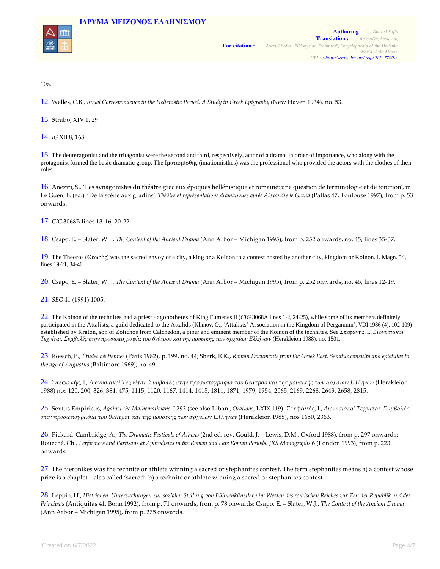



10a.

12. Welles, C.B., *Royal Correspondence in the Hellenistic Period. A Study in Greek Epigraphy* (New Haven 1934), no. 53.

13. Strabo, XIV 1, 29

14. *IG* XII 8, 163.

15. The deuteragonist and the tritagonist were the second and third, respectively, actor of a drama, in order of importance, who along with the protagonist formed the basic dramatic group. The Ιματιομίσθης (imatiomisthes) was the professional who provided the actors with the clothes of their roles.

16. Aneziri, S., 'Les synagonistes du théâtre grec aux époques hellénistique et romaine: une question de terminologie et de fonction', in Le Guen, B. (ed.), 'De la scène aux gradins'. *Théâtre et représentations dramatiques après Alexandre le Grand* (Pallas 47, Toulouse 1997), from p. 53 onwards.

17. *CIG* 3068B lines 13‑16, 20‑22.

18. Csapo, E. – Slater, W.J., *The Context of the Ancient Drama* (Ann Arbor – Michigan 1995), from p. 252 onwards, no. 45, lines 35‑37.

19. The Theoros (Θεωρός) was the sacred envoy of a city, a king or a Koinon to a contest hosted by another city, kingdom or Koinon. I. Magn. 54, lines 19-21, 34-40.

20. Csapo, E. – Slater, W.J., *The Context of the Ancient Drama* (Ann Arbor – Michigan 1995), from p. 252 onwards, no. 45, lines 12‑19.

21. *SEG* 41 (1991) 1005.

22. The Koinon of the technites had a priest - agonothetes of King Eumenes II (*CIG* 3068A lines 1-2, 24-25), while some of its members definitely participated in the Attalists, a guild dedicated to the Attalids (Klimov, O., 'Attalists' Association in the Kingdom of Pergamum', VDI 1986 (4), 102-109) established by Kraton, son of Zotichos from Calchedon, a piper and eminent member of the Koinon of the technites. See Στεφανής, I., *Διονυσιακοί Tεχνίται. Συμβολές στην προσωπογραφία του θεάτρου και της μουσικής των αρχαίων Eλλήνων* (Herakleion 1988), no. 1501.

23. Roesch, P., *Études béotiennes* (Paris 1982), p. 199, no. 44; Sherk, R.K., *Roman Documents from the Greek East. Senatus consulta and epistulae to the age of Augustus* (Baltimore 1969), no. 49.

24. Στεφανής, I., *Διονυσιακοί Tεχνίται. Συμβολές στην προσωπογραφία του θεάτρου και της μουσικής των αρχαίων Eλλήνων* (Herakleion 1988) nos 120, 200, 326, 384, 475, 1115, 1120, 1167, 1414, 1415, 1811, 1871, 1979, 1954, 2065, 2169, 2268, 2649, 2658, 2815.

25. Sextus Empiricus, *Against the Mathematicians*. Ι 293 (see also Liban., *Orations*, LXIX 119). Στεφανής, I., *Διονυσιακοί Tεχνίται. Συμβολές στcν προσωπογραφία του θεάτρου και της μουσικής των αρχαίων Eλλήνων* (Herakleion 1988), nos 1650, 2363.

26. Pickard‑Cambridge, A., *The Dramatic Festivals of Athens* (2nd ed. rev. Gould, J. – Lewis, D.M., Oxford 1988), from p. 297 onwards; Roueché, Ch., *Performers and Partisans at Aphrodisias in the Roman and Late Roman Periods. JRS Monographs* 6 (London 1993), from p. 223 onwards.

 $27$ . The hieronikes was the technite or athlete winning a sacred or stephanites contest. The term stephanites means a) a contest whose prize is a chaplet – also called 'sacred', b) a technite or athlete winning a sacred or stephanites contest.

28. Leppin, H., *Histrionen. Untersuchungen zur sozialen Stellung von Bühnenkünstlern im Westen des römischen Reiches zur Zeit der Republik und des Principats* (Antiquitas 41, Bonn 1992), from p. 71 onwards, from p. 78 onwards; Csapo, E. – Slater, W.J., *The Context of the Ancient Drama* (Ann Arbor – Michigan 1995), from p. 275 onwards.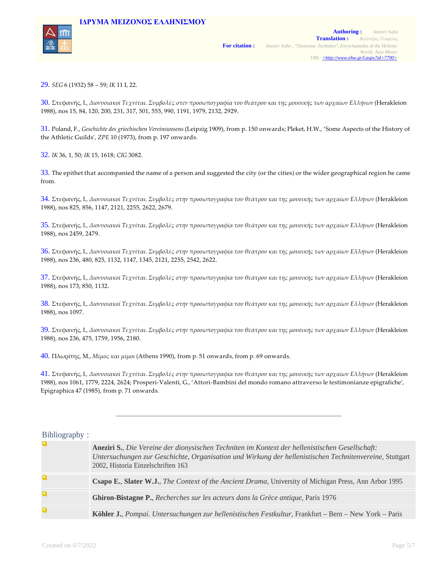

29. *SEG* 6 (1932) 58 – 59; *IK* 11 I, 22.

30. Στεφανής, I., *Διονυσιακοί Tεχνίται. Συμβολές στcν προσωπογραφία του θεάτρου και της μουσικής των αρχαίων Eλλήνων* (Herakleion 1988), nos 15, 84, 120, 200, 231, 317, 501, 555, 990, 1191, 1979, 2132, 2929.

31. Poland, F., *Geschichte des griechischen Vereinswesens* (Leipzig 1909), from p. 150 onwards; Pleket, H.W., 'Some Aspects of the History of the Athletic Guilds', *ZPE* 10 (1973), from p. 197 onwards.

32. *IK* 36, 1, 50; *IK* 15, 1618; *CIG* 3082.

33. The epithet that accompanied the name of a person and suggested the city (or the cities) or the wider geographical region he came from.

34. Στεφανής, I., *Διονυσιακοί Tεχνίται. Συμβολές στην προσωπογραφία του θεάτρου και της μουσικής των αρχαίων Eλλήνων* (Herakleion 1988), nos 825, 856, 1147, 2121, 2255, 2622, 2679.

35. Στεφανής, I., *Διονυσιακοί Tεχνίται. Συμβολές στην προσωπογραφία του θεάτρου και της μουσικής των αρχαίων Eλλήνων* (Herakleion 1988), nos 2459, 2479.

36. Στεφανής, I., *Διονυσιακοί Tεχνίται. Συμβολές στην προσωπογραφία του θεάτρου και της μουσικής των αρχαίων Eλλήνων* (Herakleion 1988), nos 236, 480, 825, 1132, 1147, 1345, 2121, 2255, 2542, 2622.

37. Στεφανής, I., *Διονυσιακοί Tεχνίται. Συμβολές στην προσωπογραφία του θεάτρου και της μουσικής των αρχαίων Eλλήνων* (Herakleion 1988), nos 173, 850, 1132.

38. Στεφανής, I., *Διονυσιακοί Tεχνίται. Συμβολές στην προσωπογραφία του θεάτρου και της μουσικής των αρχαίων Eλλήνων* (Herakleion 1988), nos 1097.

39. Στεφανής, I., *Διονυσιακοί Tεχνίται. Συμβολές στην προσωπογραφία του θεάτρου και της μουσικής των αρχαίων Eλλήνων* (Herakleion 1988), nos 236, 475, 1759, 1956, 2180.

40. Πλωρίτης, M., *Mίμος και μίμοι* (Athens 1990), from p. 51 onwards, from p. 69 onwards.

41. Στεφανής, I*., Διονυσιακοί Tεχνίται. Συμβολές στην προσωπογραφία του θεάτρου και της μουσικής των αρχαίων Eλλήνων* (Herakleion 1988), nos 1061, 1779, 2224, 2624; Prosperi‑Valenti, G., 'Attori‑Bambini del mondo romano attraverso le testimonianze epigrafiche', Epigraphica 47 (1985), from p. 71 onwards.

## Bibliography :

| Q | Aneziri S., Die Vereine der dionysischen Techniten im Kontext der hellenistischen Gesellschaft:<br>Untersuchungen zur Geschichte, Organisation und Wirkung der hellenistischen Technitenvereine, Stuttgart<br>2002, Historia Einzelschriften 163 |
|---|--------------------------------------------------------------------------------------------------------------------------------------------------------------------------------------------------------------------------------------------------|
|   | Csapo E., Slater W.J., The Context of the Ancient Drama, University of Michigan Press, Ann Arbor 1995                                                                                                                                            |
| Q | Ghiron-Bistagne P., Recherches sur les acteurs dans la Grèce antique, Paris 1976                                                                                                                                                                 |
| Q | Köhler J., Pompai. Untersuchungen zur hellenistischen Festkultur, Frankfurt – Bern – New York – Paris                                                                                                                                            |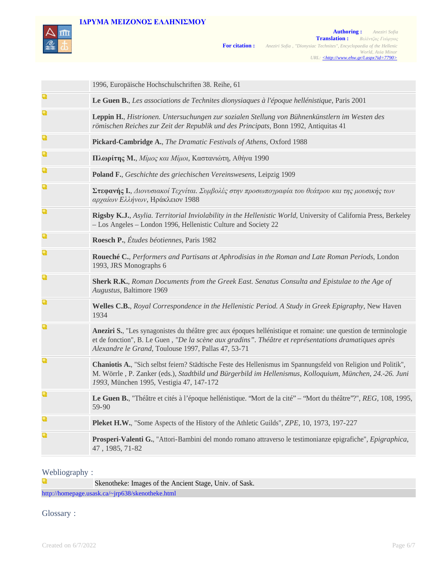# **IΔΡΥΜA ΜΕΙΖΟΝΟΣ ΕΛΛΗΝΙΣΜΟΥ**



|   | 1996, Europäische Hochschulschriften 38. Reihe, 61                                                                                                                                                                                                                              |
|---|---------------------------------------------------------------------------------------------------------------------------------------------------------------------------------------------------------------------------------------------------------------------------------|
| Q | Le Guen B., Les associations de Technites dionysiaques à l'époque hellénistique, Paris 2001                                                                                                                                                                                     |
| Q | Leppin H., Histrionen. Untersuchungen zur sozialen Stellung von Bühnenkünstlern im Westen des<br>römischen Reiches zur Zeit der Republik und des Principats, Bonn 1992, Antiquitas 41                                                                                           |
| Q | Pickard-Cambridge A., The Dramatic Festivals of Athens, Oxford 1988                                                                                                                                                                                                             |
| Q | Πλωρίτης Μ., Μίμος και Μίμοι, Καστανιώτη, Αθήνα 1990                                                                                                                                                                                                                            |
| Q | Poland F., Geschichte des griechischen Vereinswesens, Leipzig 1909                                                                                                                                                                                                              |
| Q | Στεφανής Ι., Διονυσιακοί Τεχνίται. Συμβολές στην προσωπογραφία του θεάτρου και της μουσικής των<br>αρχαίων Ελλήνων, Ηράκλειον 1988                                                                                                                                              |
| Q | Rigsby K.J., Asylia. Territorial Inviolability in the Hellenistic World, University of California Press, Berkeley<br>- Los Angeles - London 1996, Hellenistic Culture and Society 22                                                                                            |
| Q | Roesch P., Études béotiennes, Paris 1982                                                                                                                                                                                                                                        |
| Q | Roueché C., Performers and Partisans at Aphrodisias in the Roman and Late Roman Periods, London<br>1993, JRS Monographs 6                                                                                                                                                       |
| Q | Sherk R.K., Roman Documents from the Greek East. Senatus Consulta and Epistulae to the Age of<br>Augustus, Baltimore 1969                                                                                                                                                       |
| Q | Welles C.B., Royal Correspondence in the Hellenistic Period. A Study in Greek Epigraphy, New Haven<br>1934                                                                                                                                                                      |
| Q | Aneziri S., "Les synagonistes du théâtre grec aux époques hellénistique et romaine: une question de terminologie<br>et de fonction", B. Le Guen, "De la scène aux gradins". Théâtre et représentations dramatiques après<br>Alexandre le Grand, Toulouse 1997, Pallas 47, 53-71 |
| Q | Chaniotis A., "Sich selbst feiern? Städtische Feste des Hellenismus im Spannungsfeld von Religion und Politik",<br>M. Wörrle, P. Zanker (eds.), Stadtbild und Bürgerbild im Hellenismus, Kolloquium, München, 24.-26. Juni<br>1993, München 1995, Vestigia 47, 147-172          |
| Q | Le Guen B., "Théâtre et cités à l'époque hellénistique. "Mort de la cité" – "Mort du théâtre"?", REG, 108, 1995,<br>59-90                                                                                                                                                       |
| Q | <b>Pleket H.W.</b> , "Some Aspects of the History of the Athletic Guilds", <i>ZPE</i> , 10, 1973, 197-227                                                                                                                                                                       |
| Q | Prosperi-Valenti G., "Attori-Bambini del mondo romano attraverso le testimonianze epigrafiche", Epigraphica,<br>47, 1985, 71-82                                                                                                                                                 |

# Webliography :

Q Skenotheke: Images of the Ancient Stage, Univ. of Sask. http://homepage.usask.ca/~jrp638/skenotheke.html

Glossary :